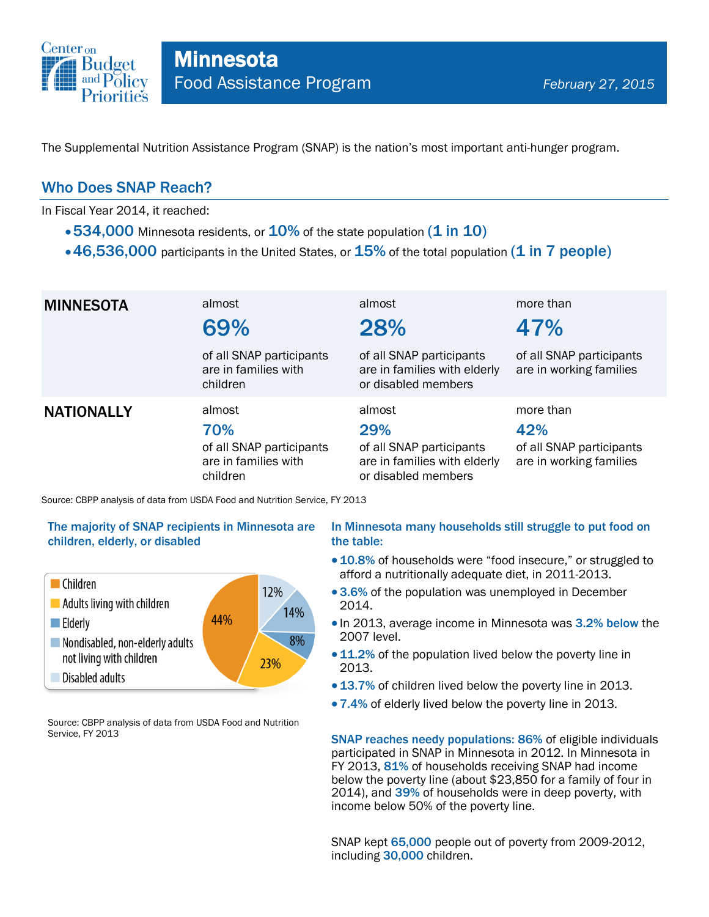

The Supplemental Nutrition Assistance Program (SNAP) is the nation's most important anti-hunger program.

## Who Does SNAP Reach?

In Fiscal Year 2014, it reached:

- $\cdot$  534,000 Minnesota residents, or  $10\%$  of the state population (1 in 10)
- $\cdot$  46,536,000 participants in the United States, or  $15\%$  of the total population (1 in 7 people)

| <b>MINNESOTA</b>  | almost<br>69%                                                                 | almost<br>28%                                                                                    | more than<br>47%                                                        |
|-------------------|-------------------------------------------------------------------------------|--------------------------------------------------------------------------------------------------|-------------------------------------------------------------------------|
|                   | of all SNAP participants<br>are in families with<br>children                  | of all SNAP participants<br>are in families with elderly<br>or disabled members                  | of all SNAP participants<br>are in working families                     |
| <b>NATIONALLY</b> | almost<br>70%<br>of all SNAP participants<br>are in families with<br>children | almost<br>29%<br>of all SNAP participants<br>are in families with elderly<br>or disabled members | more than<br>42%<br>of all SNAP participants<br>are in working families |

Source: CBPP analysis of data from USDA Food and Nutrition Service, FY 2013

### The majority of SNAP recipients in Minnesota are children, elderly, or disabled



Source: CBPP analysis of data from USDA Food and Nutrition Service, FY 2013

#### In Minnesota many households still struggle to put food on the table:

- $\bullet$  10.8% of households were "food insecure," or struggled to afford a nutritionally adequate diet, in 2011-2013.
- 3.6% of the population was unemployed in December 2014.
- In 2013, average income in Minnesota was 3.2% below the 2007 level.
- 11.2% of the population lived below the poverty line in 2013.
- 13.7% of children lived below the poverty line in 2013.
- 7.4% of elderly lived below the poverty line in 2013.

SNAP reaches needy populations: 86% of eligible individuals participated in SNAP in Minnesota in 2012. In Minnesota in FY 2013, 81% of households receiving SNAP had income below the poverty line (about \$23,850 for a family of four in 2014), and 39% of households were in deep poverty, with income below 50% of the poverty line.

SNAP kept 65,000 people out of poverty from 2009-2012, including 30,000 children.